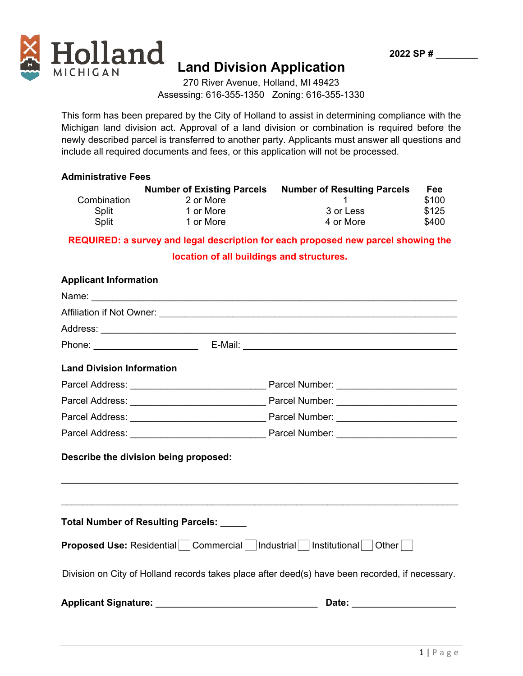



# **Land Division Application**

270 River Avenue, Holland, MI 49423 Assessing: 616-355-1350 Zoning: 616-355-1330

This form has been prepared by the City of Holland to assist in determining compliance with the Michigan land division act. Approval of a land division or combination is required before the newly described parcel is transferred to another party. Applicants must answer all questions and include all required documents and fees, or this application will not be processed.

## **Administrative Fees**

|             | <b>Number of Existing Parcels</b> | <b>Number of Resulting Parcels</b> | Fee   |
|-------------|-----------------------------------|------------------------------------|-------|
| Combination | 2 or More                         |                                    | \$100 |
| Split       | 1 or More                         | 3 or Less                          | \$125 |
| Split       | 1 or More                         | 4 or More                          | \$400 |

**REQUIRED: a survey and legal description for each proposed new parcel showing the** 

## **location of all buildings and structures.**

| <b>Applicant Information</b>             |                                                                                                 |
|------------------------------------------|-------------------------------------------------------------------------------------------------|
|                                          |                                                                                                 |
|                                          |                                                                                                 |
|                                          |                                                                                                 |
|                                          |                                                                                                 |
| <b>Land Division Information</b>         |                                                                                                 |
|                                          |                                                                                                 |
|                                          |                                                                                                 |
|                                          |                                                                                                 |
|                                          |                                                                                                 |
| Describe the division being proposed:    |                                                                                                 |
| Total Number of Resulting Parcels: _____ | ,我们也不会有什么。""我们的人,我们也不会有什么?""我们的人,我们也不会有什么?""我们的人,我们也不会有什么?""我们的人,我们也不会有什么?""我们的人                |
|                                          | <b>Proposed Use:</b> Residential Commercial Industrial Institutional Other                      |
|                                          | Division on City of Holland records takes place after deed(s) have been recorded, if necessary. |
|                                          | Date:                                                                                           |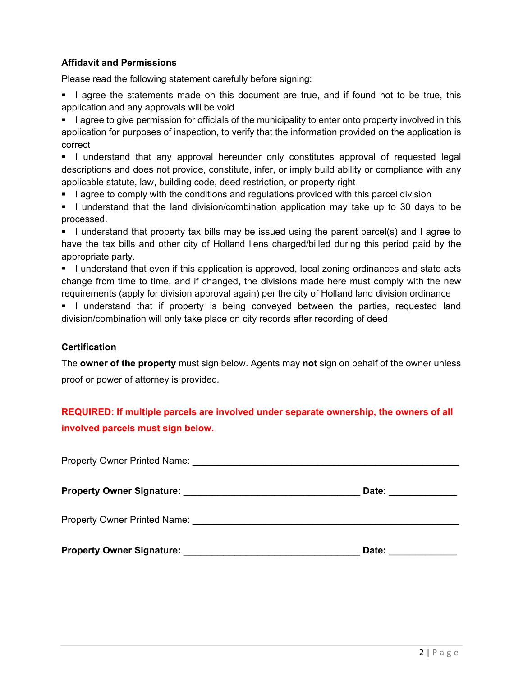## **Affidavit and Permissions**

Please read the following statement carefully before signing:

I agree the statements made on this document are true, and if found not to be true, this application and any approvals will be void

I agree to give permission for officials of the municipality to enter onto property involved in this application for purposes of inspection, to verify that the information provided on the application is correct

I understand that any approval hereunder only constitutes approval of requested legal descriptions and does not provide, constitute, infer, or imply build ability or compliance with any applicable statute, law, building code, deed restriction, or property right

- I agree to comply with the conditions and regulations provided with this parcel division
- I understand that the land division/combination application may take up to 30 days to be processed.

I understand that property tax bills may be issued using the parent parcel(s) and I agree to have the tax bills and other city of Holland liens charged/billed during this period paid by the appropriate party.

I understand that even if this application is approved, local zoning ordinances and state acts change from time to time, and if changed, the divisions made here must comply with the new requirements (apply for division approval again) per the city of Holland land division ordinance

I understand that if property is being conveyed between the parties, requested land division/combination will only take place on city records after recording of deed

## **Certification**

The **owner of the property** must sign below. Agents may **not** sign on behalf of the owner unless proof or power of attorney is provided*.* 

## **REQUIRED: If multiple parcels are involved under separate ownership, the owners of all involved parcels must sign below.**

| Property Owner Printed Name: Name:  |       |  |  |  |
|-------------------------------------|-------|--|--|--|
|                                     | Date: |  |  |  |
| <b>Property Owner Printed Name:</b> |       |  |  |  |
| <b>Property Owner Signature:</b>    | Date: |  |  |  |